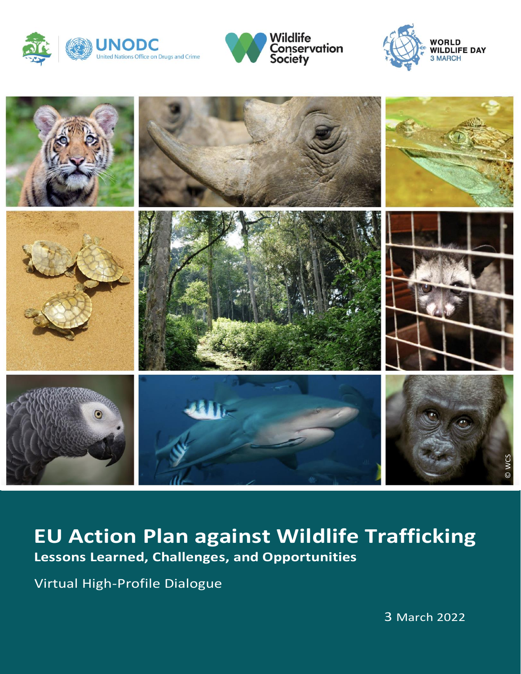







# **EU Action Plan against Wildlife Trafficking**<br>Lessons Learned, Challenges, and Opportunities

Virtual High-Profile Dialogue

3 March 2022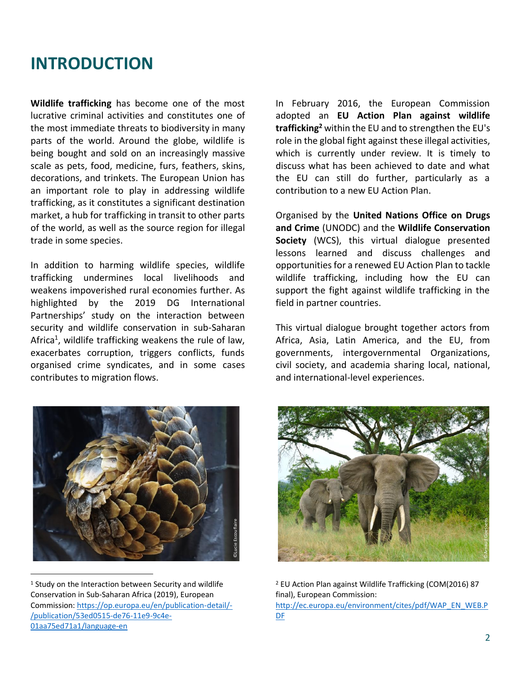# **INTRODUCTION**

**Wildlife trafficking** has become one of the most lucrative criminal activities and constitutes one of the most immediate threats to biodiversity in many parts of the world. Around the globe, wildlife is being bought and sold on an increasingly massive scale as pets, food, medicine, furs, feathers, skins, decorations, and trinkets. The European Union has an important role to play in addressing wildlife trafficking, as it constitutes a significant destination market, a hub for trafficking in transit to other parts of the world, as well as the source region for illegal trade in some species.

In addition to harming wildlife species, wildlife trafficking undermines local livelihoods and weakens impoverished rural economies further. As highlighted by the 2019 DG International Partnerships' study on the interaction between security and wildlife conservation in sub-Saharan Africa<sup>1</sup>, wildlife trafficking weakens the rule of law, exacerbates corruption, triggers conflicts, funds organised crime syndicates, and in some cases contributes to migration flows.

In February 2016, the European Commission adopted an **EU Action Plan against wildlife trafficking2** within the EU and to strengthen the EU's role in the global fight against these illegal activities, which is currently under review. It is timely to discuss what has been achieved to date and what the EU can still do further, particularly as a contribution to a new EU Action Plan.

Organised by the **United Nations Office on Drugs and Crime** (UNODC) and the **Wildlife Conservation Society** (WCS), this virtual dialogue presented lessons learned and discuss challenges and opportunities for a renewed EU Action Plan to tackle wildlife trafficking, including how the EU can support the fight against wildlife trafficking in the field in partner countries.

This virtual dialogue brought together actors from Africa, Asia, Latin America, and the EU, from governments, intergovernmental Organizations, civil society, and academia sharing local, national, and international-level experiences.



<sup>&</sup>lt;sup>1</sup> Study on the Interaction between Security and wildlife Conservation in Sub-Saharan Africa (2019), European Commission: [https://op.europa.eu/en/publication-detail/-](https://op.europa.eu/en/publication-detail/-/publication/53ed0515-de76-11e9-9c4e-01aa75ed71a1/language-en) [/publication/53ed0515-de76-11e9-9c4e-](https://op.europa.eu/en/publication-detail/-/publication/53ed0515-de76-11e9-9c4e-01aa75ed71a1/language-en)[01aa75ed71a1/language-en](https://op.europa.eu/en/publication-detail/-/publication/53ed0515-de76-11e9-9c4e-01aa75ed71a1/language-en)



<sup>2</sup> EU Action Plan against Wildlife Trafficking (COM(2016) 87 final), European Commission: [http://ec.europa.eu/environment/cites/pdf/WAP\\_EN\\_WEB.P](http://ec.europa.eu/environment/cites/pdf/WAP_EN_WEB.PDF)

[DF](http://ec.europa.eu/environment/cites/pdf/WAP_EN_WEB.PDF)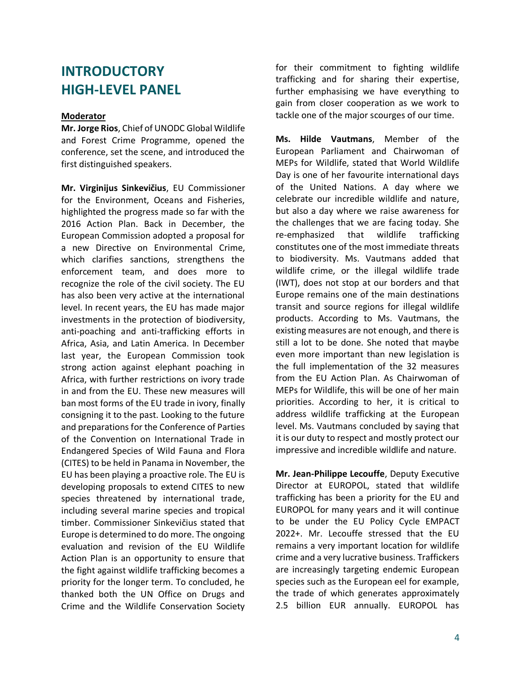## **INTRODUCTORY HIGH-LEVEL PANEL**

#### **Moderator**

**Mr. Jorge Rios**, Chief of UNODC Global Wildlife and Forest Crime Programme, opened the conference, set the scene, and introduced the first distinguished speakers.

**Mr. Virginijus Sinkevičius**, EU Commissioner for the Environment, Oceans and Fisheries, highlighted the progress made so far with the 2016 Action Plan. Back in December, the European Commission adopted a proposal for a new Directive on Environmental Crime, which clarifies sanctions, strengthens the enforcement team, and does more to recognize the role of the civil society. The EU has also been very active at the international level. In recent years, the EU has made major investments in the protection of biodiversity, anti-poaching and anti-trafficking efforts in Africa, Asia, and Latin America. In December last year, the European Commission took strong action against elephant poaching in Africa, with further restrictions on ivory trade in and from the EU. These new measures will ban most forms of the EU trade in ivory, finally consigning it to the past. Looking to the future and preparations for the Conference of Parties of the Convention on International Trade in Endangered Species of Wild Fauna and Flora (CITES) to be held in Panama in November, the EU has been playing a proactive role. The EU is developing proposals to extend CITES to new species threatened by international trade, including several marine species and tropical timber. Commissioner Sinkevičius stated that Europe is determined to do more. The ongoing evaluation and revision of the EU Wildlife Action Plan is an opportunity to ensure that the fight against wildlife trafficking becomes a priority for the longer term. To concluded, he thanked both the UN Office on Drugs and Crime and the Wildlife Conservation Society

for their commitment to fighting wildlife trafficking and for sharing their expertise, further emphasising we have everything to gain from closer cooperation as we work to tackle one of the major scourges of our time.

**Ms. Hilde Vautmans**, Member of the European Parliament and Chairwoman of MEPs for Wildlife, stated that World Wildlife Day is one of her favourite international days of the United Nations. A day where we celebrate our incredible wildlife and nature, but also a day where we raise awareness for the challenges that we are facing today. She re-emphasized that wildlife trafficking constitutes one of the most immediate threats to biodiversity. Ms. Vautmans added that wildlife crime, or the illegal wildlife trade (IWT), does not stop at our borders and that Europe remains one of the main destinations transit and source regions for illegal wildlife products. According to Ms. Vautmans, the existing measures are not enough, and there is still a lot to be done. She noted that maybe even more important than new legislation is the full implementation of the 32 measures from the EU Action Plan. As Chairwoman of MEPs for Wildlife, this will be one of her main priorities. According to her, it is critical to address wildlife trafficking at the European level. Ms. Vautmans concluded by saying that it is our duty to respect and mostly protect our impressive and incredible wildlife and nature.

**Mr. Jean-Philippe Lecouffe**, Deputy Executive Director at EUROPOL, stated that wildlife trafficking has been a priority for the EU and EUROPOL for many years and it will continue to be under the EU Policy Cycle EMPACT 2022+. Mr. Lecouffe stressed that the EU remains a very important location for wildlife crime and a very lucrative business. Traffickers are increasingly targeting endemic European species such as the European eel for example, the trade of which generates approximately 2.5 billion EUR annually. EUROPOL has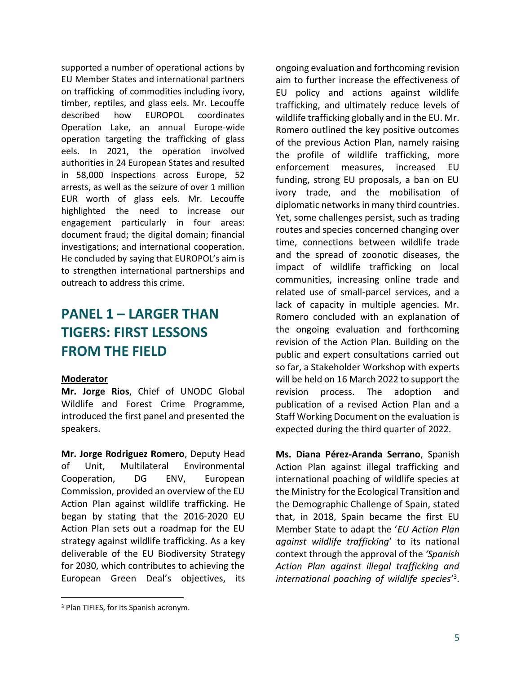supported a number of operational actions by EU Member States and international partners on trafficking of commodities including ivory, timber, reptiles, and glass eels. Mr. Lecouffe described how EUROPOL coordinates Operation Lake, an annual Europe-wide operation targeting the trafficking of glass eels. In 2021, the operation involved authorities in 24 European States and resulted in 58,000 inspections across Europe, 52 arrests, as well as the seizure of over 1 million EUR worth of glass eels. Mr. Lecouffe highlighted the need to increase our engagement particularly in four areas: document fraud; the digital domain; financial investigations; and international cooperation. He concluded by saying that EUROPOL's aim is to strengthen international partnerships and outreach to address this crime.

## **PANEL 1 – LARGER THAN TIGERS: FIRST LESSONS FROM THE FIELD**

#### **Moderator**

**Mr. Jorge Rios**, Chief of UNODC Global Wildlife and Forest Crime Programme, introduced the first panel and presented the speakers.

**Mr. Jorge Rodriguez Romero**, Deputy Head of Unit, Multilateral Environmental Cooperation, DG ENV, European Commission, provided an overview of the EU Action Plan against wildlife trafficking. He began by stating that the 2016-2020 EU Action Plan sets out a roadmap for the EU strategy against wildlife trafficking. As a key deliverable of the EU Biodiversity Strategy for 2030, which contributes to achieving the European Green Deal's objectives, its

ongoing evaluation and forthcoming revision aim to further increase the effectiveness of EU policy and actions against wildlife trafficking, and ultimately reduce levels of wildlife trafficking globally and in the EU. Mr. Romero outlined the key positive outcomes of the previous Action Plan, namely raising the profile of wildlife trafficking, more enforcement measures, increased EU funding, strong EU proposals, a ban on EU ivory trade, and the mobilisation of diplomatic networks in many third countries. Yet, some challenges persist, such as trading routes and species concerned changing over time, connections between wildlife trade and the spread of zoonotic diseases, the impact of wildlife trafficking on local communities, increasing online trade and related use of small-parcel services, and a lack of capacity in multiple agencies. Mr. Romero concluded with an explanation of the ongoing evaluation and forthcoming revision of the Action Plan. Building on the public and expert consultations carried out so far, a Stakeholder Workshop with experts will be held on 16 March 2022 to support the revision process. The adoption and publication of a revised Action Plan and a Staff Working Document on the evaluation is expected during the third quarter of 2022.

**Ms. Diana Pérez-Aranda Serrano**, Spanish Action Plan against illegal trafficking and international poaching of wildlife species at the Ministry for the Ecological Transition and the Demographic Challenge of Spain, stated that, in 2018, Spain became the first EU Member State to adapt the '*EU Action Plan against wildlife trafficking*' to its national context through the approval of the *'Spanish Action Plan against illegal trafficking and international poaching of wildlife species*' 3.

<sup>3</sup> Plan TIFIES, for its Spanish acronym.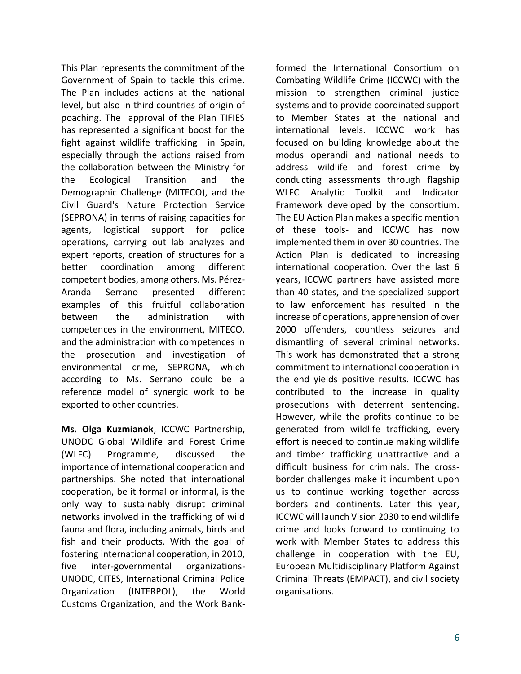This Plan represents the commitment of the Government of Spain to tackle this crime. The Plan includes actions at the national level, but also in third countries of origin of poaching. The approval of the Plan TIFIES has represented a significant boost for the fight against wildlife trafficking in Spain, especially through the actions raised from the collaboration between the Ministry for the Ecological Transition and the Demographic Challenge (MITECO), and the Civil Guard's Nature Protection Service (SEPRONA) in terms of raising capacities for agents, logistical support for police operations, carrying out lab analyzes and expert reports, creation of structures for a better coordination among different competent bodies, among others. Ms. Pérez-Aranda Serrano presented different examples of this fruitful collaboration between the administration with competences in the environment, MITECO, and the administration with competences in the prosecution and investigation of environmental crime, SEPRONA, which according to Ms. Serrano could be a reference model of synergic work to be exported to other countries.

**Ms. Olga Kuzmianok**, ICCWC Partnership, UNODC Global Wildlife and Forest Crime (WLFC) Programme, discussed the importance of international cooperation and partnerships. She noted that international cooperation, be it formal or informal, is the only way to sustainably disrupt criminal networks involved in the trafficking of wild fauna and flora, including animals, birds and fish and their products. With the goal of fostering international cooperation, in 2010, five inter-governmental organizations-UNODC, CITES, International Criminal Police Organization (INTERPOL), the World Customs Organization, and the Work Bankformed the International Consortium on Combating Wildlife Crime (ICCWC) with the mission to strengthen criminal justice systems and to provide coordinated support to Member States at the national and international levels. ICCWC work has focused on building knowledge about the modus operandi and national needs to address wildlife and forest crime by conducting assessments through flagship WLFC Analytic Toolkit and Indicator Framework developed by the consortium. The EU Action Plan makes a specific mention of these tools- and ICCWC has now implemented them in over 30 countries. The Action Plan is dedicated to increasing international cooperation. Over the last 6 years, ICCWC partners have assisted more than 40 states, and the specialized support to law enforcement has resulted in the increase of operations, apprehension of over 2000 offenders, countless seizures and dismantling of several criminal networks. This work has demonstrated that a strong commitment to international cooperation in the end yields positive results. ICCWC has contributed to the increase in quality prosecutions with deterrent sentencing. However, while the profits continue to be generated from wildlife trafficking, every effort is needed to continue making wildlife and timber trafficking unattractive and a difficult business for criminals. The crossborder challenges make it incumbent upon us to continue working together across borders and continents. Later this year, ICCWC will launch Vision 2030 to end wildlife crime and looks forward to continuing to work with Member States to address this challenge in cooperation with the EU, European Multidisciplinary Platform Against Criminal Threats (EMPACT), and civil society organisations.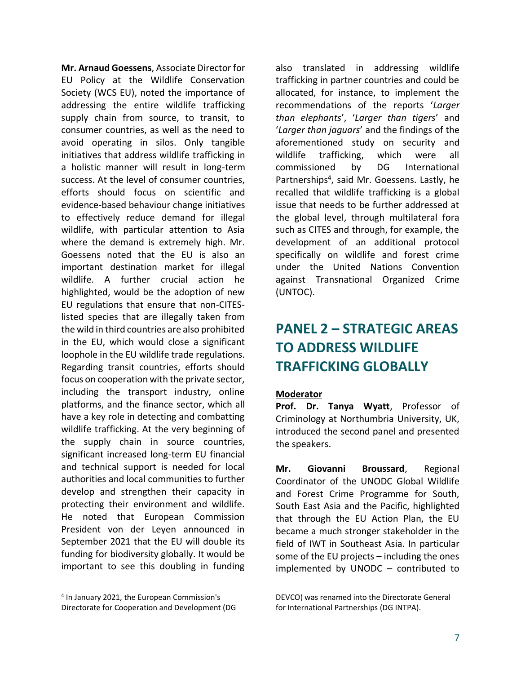**Mr. Arnaud Goessens**, Associate Director for EU Policy at the Wildlife Conservation Society (WCS EU), noted the importance of addressing the entire wildlife trafficking supply chain from source, to transit, to consumer countries, as well as the need to avoid operating in silos. Only tangible initiatives that address wildlife trafficking in a holistic manner will result in long-term success. At the level of consumer countries, efforts should focus on scientific and evidence-based behaviour change initiatives to effectively reduce demand for illegal wildlife, with particular attention to Asia where the demand is extremely high. Mr. Goessens noted that the EU is also an important destination market for illegal wildlife. A further crucial action he highlighted, would be the adoption of new EU regulations that ensure that non-CITESlisted species that are illegally taken from the wild in third countries are also prohibited in the EU, which would close a significant loophole in the EU wildlife trade regulations. Regarding transit countries, efforts should focus on cooperation with the private sector, including the transport industry, online platforms, and the finance sector, which all have a key role in detecting and combatting wildlife trafficking. At the very beginning of the supply chain in source countries, significant increased long-term EU financial and technical support is needed for local authorities and local communities to further develop and strengthen their capacity in protecting their environment and wildlife. He noted that European Commission President von der Leyen announced in September 2021 that the EU will double its funding for biodiversity globally. It would be important to see this doubling in funding

also translated in addressing wildlife trafficking in partner countries and could be allocated, for instance, to implement the recommendations of the reports '*Larger than elephants*', '*Larger than tigers*' and '*Larger than jaguars*' and the findings of the aforementioned study on security and wildlife trafficking, which were all commissioned by DG International Partnerships<sup>4</sup>, said Mr. Goessens. Lastly, he recalled that wildlife trafficking is a global issue that needs to be further addressed at the global level, through multilateral fora such as CITES and through, for example, the development of an additional protocol specifically on wildlife and forest crime under the United Nations Convention against Transnational Organized Crime (UNTOC).

## **PANEL 2 – STRATEGIC AREAS TO ADDRESS WILDLIFE TRAFFICKING GLOBALLY**

#### **Moderator**

**Prof. Dr. Tanya Wyatt**, Professor of Criminology at Northumbria University, UK, introduced the second panel and presented the speakers.

**Mr. Giovanni Broussard**, Regional Coordinator of the UNODC Global Wildlife and Forest Crime Programme for South, South East Asia and the Pacific, highlighted that through the EU Action Plan, the EU became a much stronger stakeholder in the field of IWT in Southeast Asia. In particular some of the EU projects – including the ones implemented by UNODC – contributed to

<sup>4</sup> In January 2021, the European Commission's Directorate for Cooperation and Development (DG

DEVCO) was renamed into the Directorate General for International Partnerships (DG INTPA).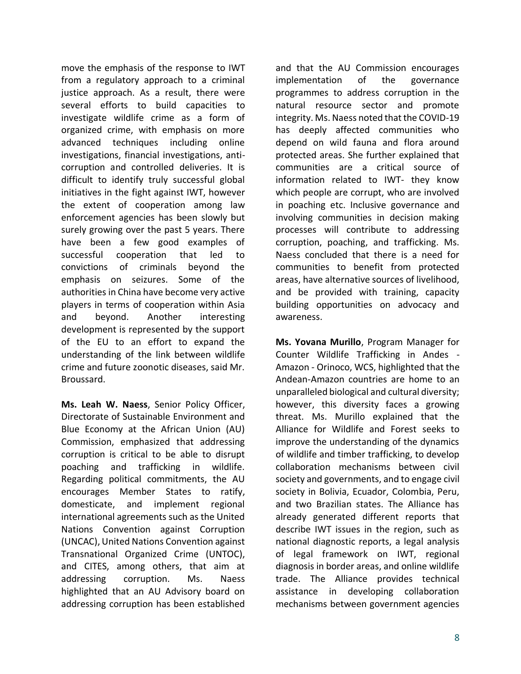move the emphasis of the response to IWT from a regulatory approach to a criminal justice approach. As a result, there were several efforts to build capacities to investigate wildlife crime as a form of organized crime, with emphasis on more advanced techniques including online investigations, financial investigations, anticorruption and controlled deliveries. It is difficult to identify truly successful global initiatives in the fight against IWT, however the extent of cooperation among law enforcement agencies has been slowly but surely growing over the past 5 years. There have been a few good examples of successful cooperation that led to convictions of criminals beyond the emphasis on seizures. Some of the authorities in China have become very active players in terms of cooperation within Asia and beyond. Another interesting development is represented by the support of the EU to an effort to expand the understanding of the link between wildlife crime and future zoonotic diseases, said Mr. Broussard.

**Ms. Leah W. Naess**, Senior Policy Officer, Directorate of Sustainable Environment and Blue Economy at the African Union (AU) Commission, emphasized that addressing corruption is critical to be able to disrupt poaching and trafficking in wildlife. Regarding political commitments, the AU encourages Member States to ratify, domesticate, and implement regional international agreements such as the United Nations Convention against Corruption (UNCAC), United Nations Convention against Transnational Organized Crime (UNTOC), and CITES, among others, that aim at addressing corruption. Ms. Naess highlighted that an AU Advisory board on addressing corruption has been established and that the AU Commission encourages implementation of the governance programmes to address corruption in the natural resource sector and promote integrity. Ms. Naess noted that the COVID-19 has deeply affected communities who depend on wild fauna and flora around protected areas. She further explained that communities are a critical source of information related to IWT- they know which people are corrupt, who are involved in poaching etc. Inclusive governance and involving communities in decision making processes will contribute to addressing corruption, poaching, and trafficking. Ms. Naess concluded that there is a need for communities to benefit from protected areas, have alternative sources of livelihood, and be provided with training, capacity building opportunities on advocacy and awareness.

**Ms. Yovana Murillo**, Program Manager for Counter Wildlife Trafficking in Andes - Amazon - Orinoco, WCS, highlighted that the Andean-Amazon countries are home to an unparalleled biological and cultural diversity; however, this diversity faces a growing threat. Ms. Murillo explained that the Alliance for Wildlife and Forest seeks to improve the understanding of the dynamics of wildlife and timber trafficking, to develop collaboration mechanisms between civil society and governments, and to engage civil society in Bolivia, Ecuador, Colombia, Peru, and two Brazilian states. The Alliance has already generated different reports that describe IWT issues in the region, such as national diagnostic reports, a legal analysis of legal framework on IWT, regional diagnosis in border areas, and online wildlife trade. The Alliance provides technical assistance in developing collaboration mechanisms between government agencies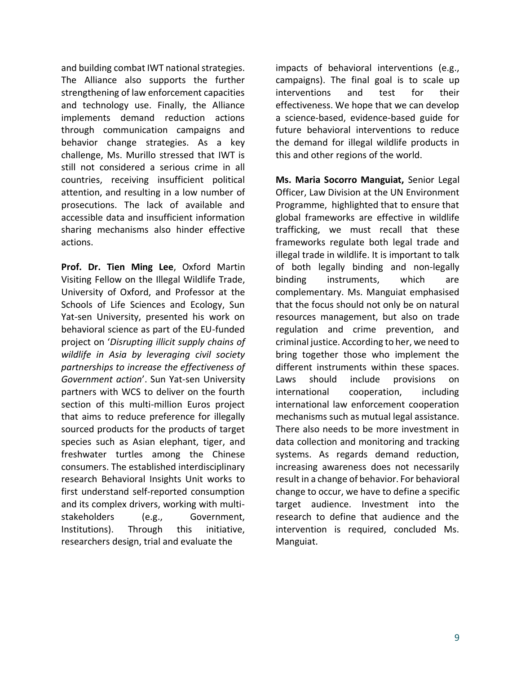and building combat IWT national strategies. The Alliance also supports the further strengthening of law enforcement capacities and technology use. Finally, the Alliance implements demand reduction actions through communication campaigns and behavior change strategies. As a key challenge, Ms. Murillo stressed that IWT is still not considered a serious crime in all countries, receiving insufficient political attention, and resulting in a low number of prosecutions. The lack of available and accessible data and insufficient information sharing mechanisms also hinder effective actions.

**Prof. Dr. Tien Ming Lee**, Oxford Martin Visiting Fellow on the Illegal Wildlife Trade, University of Oxford, and Professor at the Schools of Life Sciences and Ecology, Sun Yat-sen University, presented his work on behavioral science as part of the EU-funded project on '*Disrupting illicit supply chains of wildlife in Asia by leveraging civil society partnerships to increase the effectiveness of Government action*'. Sun Yat-sen University partners with WCS to deliver on the fourth section of this multi-million Euros project that aims to reduce preference for illegally sourced products for the products of target species such as Asian elephant, tiger, and freshwater turtles among the Chinese consumers. The established interdisciplinary research Behavioral Insights Unit works to first understand self-reported consumption and its complex drivers, working with multistakeholders (e.g., Government, Institutions). Through this initiative, researchers design, trial and evaluate the

impacts of behavioral interventions (e.g., campaigns). The final goal is to scale up interventions and test for their effectiveness. We hope that we can develop a science-based, evidence-based guide for future behavioral interventions to reduce the demand for illegal wildlife products in this and other regions of the world.

**Ms. Maria Socorro Manguiat,** Senior Legal Officer, Law Division at the UN Environment Programme, highlighted that to ensure that global frameworks are effective in wildlife trafficking, we must recall that these frameworks regulate both legal trade and illegal trade in wildlife. It is important to talk of both legally binding and non-legally binding instruments, which are complementary. Ms. Manguiat emphasised that the focus should not only be on natural resources management, but also on trade regulation and crime prevention, and criminal justice. According to her, we need to bring together those who implement the different instruments within these spaces. Laws should include provisions on international cooperation, including international law enforcement cooperation mechanisms such as mutual legal assistance. There also needs to be more investment in data collection and monitoring and tracking systems. As regards demand reduction, increasing awareness does not necessarily result in a change of behavior. For behavioral change to occur, we have to define a specific target audience. Investment into the research to define that audience and the intervention is required, concluded Ms. Manguiat.